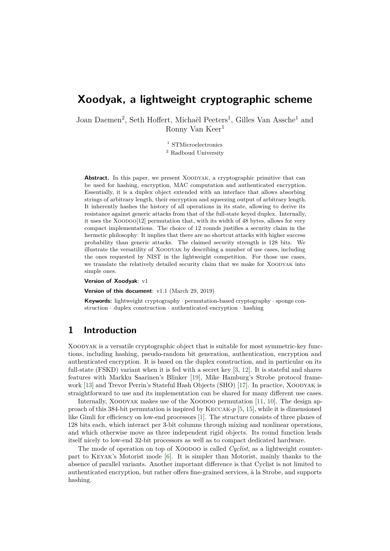# **Xoodyak, a lightweight cryptographic scheme**

Joan Daemen<sup>2</sup>, Seth Hoffert, Michaël Peeters<sup>1</sup>, Gilles Van Assche<sup>1</sup> and Ronny Van Keer<sup>1</sup>

> <sup>1</sup> STMicroelectronics <sup>2</sup> Radboud University

**Abstract.** In this paper, we present XOODYAK, a cryptographic primitive that can be used for hashing, encryption, MAC computation and authenticated encryption. Essentially, it is a duplex object extended with an interface that allows absorbing strings of arbitrary length, their encryption and squeezing output of arbitrary length. It inherently hashes the history of all operations in its state, allowing to derive its resistance against generic attacks from that of the full-state keyed duplex. Internally, it uses the Xoodoo[12] permutation that, with its width of 48 bytes, allows for very compact implementations. The choice of 12 rounds justifies a security claim in the hermetic philosophy: It implies that there are no shortcut attacks with higher success probability than generic attacks. The claimed security strength is 128 bits. We illustrate the versatility of Xoodyak by describing a number of use cases, including the ones requested by NIST in the lightweight competition. For those use cases, we translate the relatively detailed security claim that we make for XOODYAK into simple ones.

**Version of Xoodyak**: v1

**Version of this document**: v1.1 (March 29, 2019)

**Keywords:** lightweight cryptography *·* permutation-based cryptography *·* sponge construction *·* duplex construction *·* authenticated encryption *·* hashing

## **1 Introduction**

Xoodyak is a versatile cryptographic object that is suitable for most symmetric-key functions, including hashing, pseudo-random bit generation, authentication, encryption and authenticated encryption. It is based on the duplex construction, and in particular on its full-state (FSKD) variant when it is fed with a secret key [[3](#page-22-0), [12](#page-22-1)]. It is stateful and shares features with Markku Saarinen's Blinker [\[19](#page-23-0)], Mike Hamburg's Strobe protocol frame-work [[13](#page-22-2)] and Trevor Perrin's Stateful Hash Objects (SHO) [\[17](#page-22-3)]. In practice, XOODYAK is straightforward to use and its implementation can be shared for many different use cases.

Internally, XOODYAK makes use of the XOODOO permutation [\[11](#page-22-4), [10](#page-22-5)]. The design approach of this 384-bit permutation is inspired by Keccak-*p* [\[5](#page-22-6), [15\]](#page-22-7), while it is dimensioned like Gimli for efficiency on low-end processors [[1\]](#page-21-0). The structure consists of three planes of 128 bits each, which interact per 3-bit columns through mixing and nonlinear operations, and which otherwise move as three independent rigid objects. Its round function lends itself nicely to low-end 32-bit processors as well as to compact dedicated hardware.

The mode of operation on top of XOODOO is called *Cyclist*, as a lightweight counterpart to Keyak's Motorist mode [[6\]](#page-22-8). It is simpler than Motorist, mainly thanks to the absence of parallel variants. Another important difference is that Cyclist is not limited to authenticated encryption, but rather offers fine-grained services, à la Strobe, and supports hashing.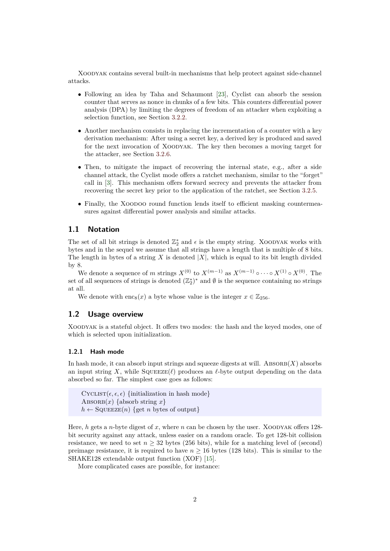Xoodyak contains several built-in mechanisms that help protect against side-channel attacks.

- Following an idea by Taha and Schaumont [[23\]](#page-23-1), Cyclist can absorb the session counter that serves as nonce in chunks of a few bits. This counters differential power analysis (DPA) by limiting the degrees of freedom of an attacker when exploiting a selection function, see Section [3.2.2.](#page-12-0)
- Another mechanism consists in replacing the incrementation of a counter with a key derivation mechanism: After using a secret key, a derived key is produced and saved for the next invocation of Xoodyak. The key then becomes a moving target for the attacker, see Section [3.2.6.](#page-14-0)
- *•* Then, to mitigate the impact of recovering the internal state, e.g., after a side channel attack, the Cyclist mode offers a ratchet mechanism, similar to the "forget" call in [[3\]](#page-22-0). This mechanism offers forward secrecy and prevents the attacker from recovering the secret key prior to the application of the ratchet, see Section [3.2.5.](#page-14-1)
- Finally, the XOODOO round function lends itself to efficient masking countermeasures against differential power analysis and similar attacks.

### **1.1 Notation**

The set of all bit strings is denoted  $\mathbb{Z}_2^*$  and  $\epsilon$  is the empty string. XOODYAK works with bytes and in the sequel we assume that all strings have a length that is multiple of 8 bits. The length in bytes of a string  $X$  is denoted  $|X|$ , which is equal to its bit length divided by 8.

We denote a sequence of *m* strings  $X^{(0)}$  to  $X^{(m-1)}$  as  $X^{(m-1)} \circ \cdots \circ X^{(1)} \circ X^{(0)}$ . The set of all sequences of strings is denoted  $(\mathbb{Z}_2^*)^*$  and  $\emptyset$  is the sequence containing no strings at all.

We denote with enc<sub>8</sub>(*x*) a byte whose value is the integer  $x \in \mathbb{Z}_{256}$ .

## **1.2 Usage overview**

Xoodyak is a stateful object. It offers two modes: the hash and the keyed modes, one of which is selected upon initialization.

#### **1.2.1 Hash mode**

In hash mode, it can absorb input strings and squeeze digests at will.  $\triangle BSORB(X)$  absorbs an input string *X*, while  $\text{SQUEEZE}(\ell)$  produces an  $\ell$ -byte output depending on the data absorbed so far. The simplest case goes as follows:

 $CYCLIST(\epsilon, \epsilon)$  {initialization in hash mode} ABSORB $(x)$  {absorb string  $x$ }  $h \leftarrow$  SQUEEZE(*n*) {get *n* bytes of output}

Here, *h* gets a *n*-byte digest of *x*, where *n* can be chosen by the user. XOODYAK offers 128bit security against any attack, unless easier on a random oracle. To get 128-bit collision resistance, we need to set  $n \geq 32$  bytes (256 bits), while for a matching level of (second) preimage resistance, it is required to have  $n \ge 16$  bytes (128 bits). This is similar to the SHAKE128 extendable output function (XOF) [\[15](#page-22-7)].

More complicated cases are possible, for instance: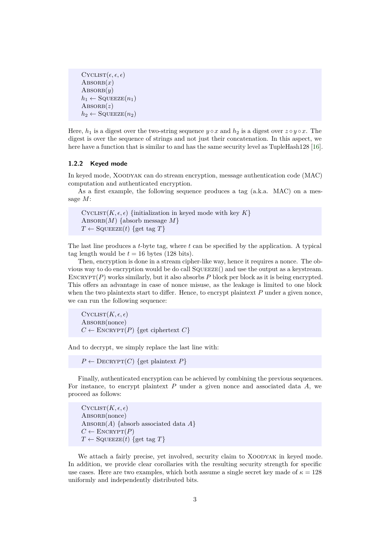```
CYCLIST(\epsilon, \epsilon, \epsilon)\text{ABSORB}(x)\text{ABSORB}(y)h_1 \leftarrow \text{SQUEEZE}(n_1)\text{ABSORB}(z)h_2 \leftarrow \text{SQUEEZE}(n_2)
```
Here,  $h_1$  is a digest over the two-string sequence  $y \circ x$  and  $h_2$  is a digest over  $z \circ y \circ x$ . The digest is over the sequence of strings and not just their concatenation. In this aspect, we here have a function that is similar to and has the same security level as TupleHash128 [[16](#page-22-9)].

#### **1.2.2 Keyed mode**

In keyed mode, Xoodyak can do stream encryption, message authentication code (MAC) computation and authenticated encryption.

As a first example, the following sequence produces a tag (a.k.a. MAC) on a message *M*:

CYCLIST( $K, \epsilon, \epsilon$ ) {initialization in keyed mode with key  $K$ }  $\text{ABSORB}(M)$  {absorb message  $M$ }  $T \leftarrow$  SQUEEZE(*t*) {get tag *T*}

The last line produces a *t*-byte tag, where *t* can be specified by the application. A typical tag length would be  $t = 16$  bytes (128 bits).

Then, encryption is done in a stream cipher-like way, hence it requires a nonce. The obvious way to do encryption would be do call Squeeze() and use the output as a keystream. ENCRYPT(P) works similarly, but it also absorbs P block per block as it is being encrypted. This offers an advantage in case of nonce misuse, as the leakage is limited to one block when the two plaintexts start to differ. Hence, to encrypt plaintext *P* under a given nonce, we can run the following sequence:

 $C$ YCLIST $(K, \epsilon, \epsilon)$ ABSORB(nonce)  $C \leftarrow$  ENCRYPT $(P)$  {get ciphertext  $C$ }

And to decrypt, we simply replace the last line with:

 $P \leftarrow$  DECRYPT(*C*) {get plaintext *P*}

Finally, authenticated encryption can be achieved by combining the previous sequences. For instance, to encrypt plaintext *P* under a given nonce and associated data *A*, we proceed as follows:

 $CycLIST(K, \epsilon, \epsilon)$ ABSORB(nonce) ABSORB $(A)$  {absorb associated data  $A$ }  $C \leftarrow$  ENCRYPT $(P)$  $T \leftarrow$  SQUEEZE(*t*) {get tag *T*}

We attach a fairly precise, yet involved, security claim to XOODYAK in keyed mode. In addition, we provide clear corollaries with the resulting security strength for specific use cases. Here are two examples, which both assume a single secret key made of  $\kappa = 128$ uniformly and independently distributed bits.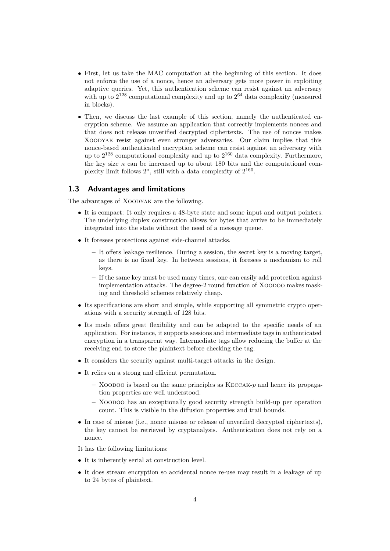- First, let us take the MAC computation at the beginning of this section. It does not enforce the use of a nonce, hence an adversary gets more power in exploiting adaptive queries. Yet, this authentication scheme can resist against an adversary with up to  $2^{128}$  computational complexity and up to  $2^{64}$  data complexity (measured in blocks).
- Then, we discuss the last example of this section, namely the authenticated encryption scheme. We assume an application that correctly implements nonces and that does not release unverified decrypted ciphertexts. The use of nonces makes Xoodyak resist against even stronger adversaries. Our claim implies that this nonce-based authenticated encryption scheme can resist against an adversary with up to  $2^{128}$  computational complexity and up to  $2^{160}$  data complexity. Furthermore, the key size  $\kappa$  can be increased up to about 180 bits and the computational complexity limit follows  $2^{\kappa}$ , still with a data complexity of  $2^{160}$ .

#### **1.3 Advantages and limitations**

The advantages of XOODYAK are the following.

- It is compact: It only requires a 48-byte state and some input and output pointers. The underlying duplex construction allows for bytes that arrive to be immediately integrated into the state without the need of a message queue.
- It foresees protections against side-channel attacks.
	- **–** It offers leakage resilience. During a session, the secret key is a moving target, as there is no fixed key. In between sessions, it foresees a mechanism to roll keys.
	- **–** If the same key must be used many times, one can easily add protection against implementation attacks. The degree-2 round function of XOODOO makes masking and threshold schemes relatively cheap.
- Its specifications are short and simple, while supporting all symmetric crypto operations with a security strength of 128 bits.
- Its mode offers great flexibility and can be adapted to the specific needs of an application. For instance, it supports sessions and intermediate tags in authenticated encryption in a transparent way. Intermediate tags allow reducing the buffer at the receiving end to store the plaintext before checking the tag.
- *•* It considers the security against multi-target attacks in the design.
- It relies on a strong and efficient permutation.
	- **–** Xoodoo is based on the same principles as Keccak-*p* and hence its propagation properties are well understood.
	- **–** Xoodoo has an exceptionally good security strength build-up per operation count. This is visible in the diffusion properties and trail bounds.
- In case of misuse (i.e., nonce misuse or release of unverified decrypted ciphertexts), the key cannot be retrieved by cryptanalysis. Authentication does not rely on a nonce.

It has the following limitations:

- *•* It is inherently serial at construction level.
- It does stream encryption so accidental nonce re-use may result in a leakage of up to 24 bytes of plaintext.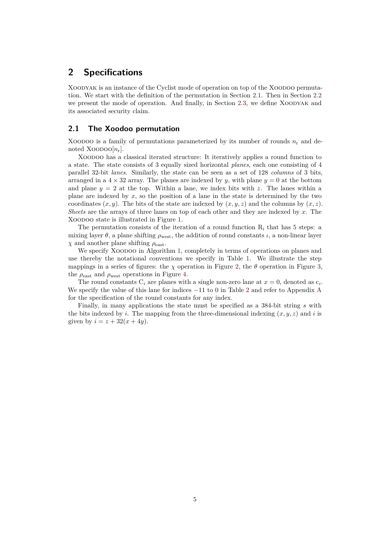## **2 Specifications**

XOODYAK is an instance of the Cyclist mode of operation on top of the XOODOO permutation. We start with the definition of the permutation in Section [2.1.](#page-4-0) Then in Section [2.2](#page-7-0) we present the mode of operation. And finally, in Section [2.3,](#page-9-0) we define Xoodyak and its associated security claim.

#### <span id="page-4-0"></span>**2.1 The Xoodoo permutation**

XOODOO is a family of permutations parameterized by its number of rounds  $n_r$  and denoted Xoopoo $[n_r]$ .

Xoodoo has a classical iterated structure: It iteratively applies a round function to a state. The state consists of 3 equally sized horizontal *planes*, each one consisting of 4 parallel 32-bit *lanes*. Similarly, the state can be seen as a set of 128 *columns* of 3 bits, arranged in a  $4 \times 32$  array. The planes are indexed by *y*, with plane  $y = 0$  at the bottom and plane  $y = 2$  at the top. Within a lane, we index bits with z. The lanes within a plane are indexed by *x*, so the position of a lane in the state is determined by the two coordinates  $(x, y)$ . The bits of the state are indexed by  $(x, y, z)$  and the columns by  $(x, z)$ . *Sheets* are the arrays of three lanes on top of each other and they are indexed by *x*. The Xoodoo state is illustrated in Figure [1.](#page-5-0)

The permutation consists of the iteration of a round function  $R_i$  that has 5 steps: a mixing layer  $\theta$ , a plane shifting  $\rho_{\text{west}}$ , the addition of round constants *ι*, a non-linear layer *χ* and another plane shifting  $ρ_{\text{east}}$ .

We specify XOODOO in Algorithm [1](#page-5-1), completely in terms of operations on planes and use thereby the notational conventions we specify in Table [1.](#page-5-2) We illustrate the step mappings in a series of figures: the  $\chi$  operation in Figure [2](#page-6-0), the  $\theta$  operation in Figure [3,](#page-6-1) the  $\rho_{\text{east}}$  and  $\rho_{\text{west}}$  operations in Figure [4](#page-6-2).

The round constants  $C_i$  are planes with a single non-zero lane at  $x = 0$ , denoted as  $c_i$ . We specify the value of this lane for indices *−*11 to 0 in Table [2](#page-5-3) and refer to Appendix [A](#page-23-2) for the specification of the round constants for any index.

Finally, in many applications the state must be specified as a 384-bit string *s* with the bits indexed by *i*. The mapping from the three-dimensional indexing  $(x, y, z)$  and *i* is given by  $i = z + 32(x + 4y)$ .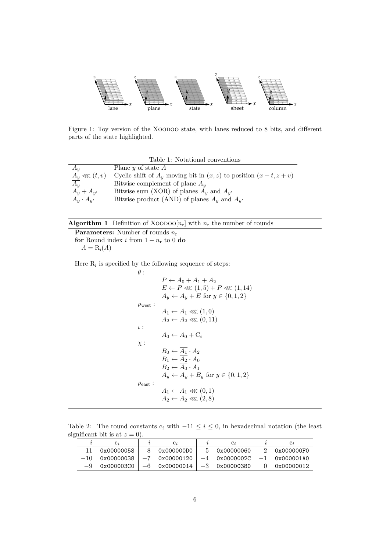<span id="page-5-0"></span>

Figure 1: Toy version of the XOODOO state, with lanes reduced to 8 bits, and different parts of the state highlighted.

Table 1: Notational conventions

<span id="page-5-2"></span>

| $A_{\mathfrak{u}}$ | Plane $y$ of state $A$                                                    |
|--------------------|---------------------------------------------------------------------------|
| $A_y \lll (t, v)$  | Cyclic shift of $A_u$ moving bit in $(x, z)$ to position $(x + t, z + v)$ |
| $A_u$              | Bitwise complement of plane $A_u$                                         |
| $A_u + A_{u'}$     | Bitwise sum (XOR) of planes $A_y$ and $A_{y'}$                            |
| $A_y \cdot A_{y'}$ | Bitwise product (AND) of planes $A_u$ and $A_{u'}$                        |

### <span id="page-5-1"></span>**Algorithm 1** Definition of XOODOO $[n_r]$  with  $n_r$  the number of rounds

**Parameters:** Number of rounds *n*<sup>r</sup> **for** Round index *i* from  $1 - n_r$  to 0 **do** 

 $A = R_i(A)$ 

Here  $R_i$  is specified by the following sequence of steps:

$$
\theta : \n P \leftarrow A_0 + A_1 + A_2\n E \leftarrow P \lll (1, 5) + P \lll (1, 14)\n A_y \leftarrow A_y + E \text{ for } y \in \{0, 1, 2\}\n \rho_{\text{west}} : \n A_1 \leftarrow A_1 \lll (1, 0)\n A_2 \leftarrow A_2 \lll (0, 11)\n \iota : \n A_0 \leftarrow A_0 + C_i\n \chi : \n B_0 \leftarrow \overline{A_1} \cdot A_2\n B_1 \leftarrow \overline{A_2} \cdot A_0\n B_2 \leftarrow \overline{A_0} \cdot A_1\n A_y \leftarrow A_y + B_y \text{ for } y \in \{0, 1, 2\}\n \rho_{\text{east}} : \n A_1 \leftarrow A_1 \lll (0, 1)\n A_2 \leftarrow A_2 \lll (2, 8)
$$

<span id="page-5-3"></span>Table 2: The round constants  $c_i$  with  $-11 \leq i \leq 0$ , in hexadecimal notation (the least significant bit is at  $z = 0$ ).

|       | $C_{\mathcal{F}}$ |                                                     |  | $\mathbf{C}$     |
|-------|-------------------|-----------------------------------------------------|--|------------------|
| $-11$ | 0x00000058        | $-8$ 0x000000D0 $-5$ 0x00000060                     |  | $ -2$ 0x000000F0 |
|       | $-10$ 0x00000038  | $-7$ 0x00000120   $-4$ 0x0000002C   $-1$ 0x000001A0 |  |                  |
|       |                   | $-9$ 0x000003C0   $-6$ 0x00000014   $-3$ 0x00000380 |  | 0 0 x00000012    |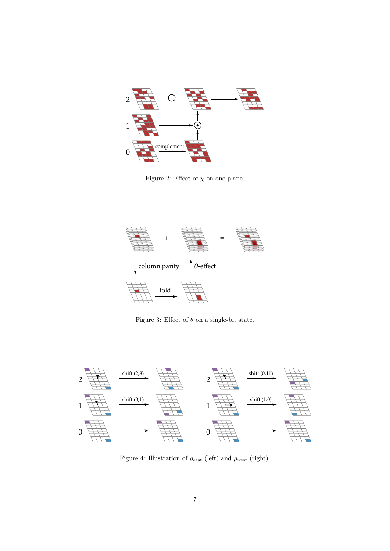<span id="page-6-0"></span>

Figure 2: Effect of  $\chi$  on one plane.

<span id="page-6-1"></span>

Figure 3: Effect of  $\theta$  on a single-bit state.

<span id="page-6-2"></span>

Figure 4: Illustration of *ρ*east (left) and *ρ*west (right).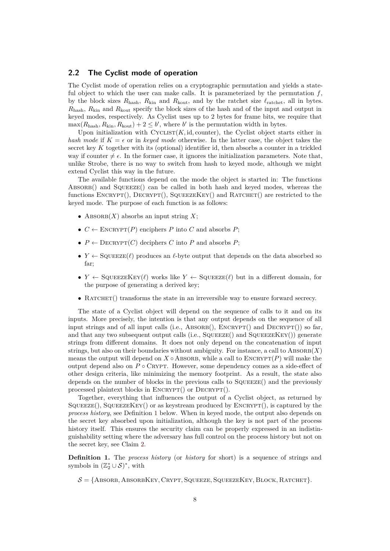#### <span id="page-7-0"></span>**2.2 The Cyclist mode of operation**

The Cyclist mode of operation relies on a cryptographic permutation and yields a stateful object to which the user can make calls. It is parameterized by the permutation  $f$ , by the block sizes  $R_{\text{hash}}$ ,  $R_{\text{kin}}$  and  $R_{\text{kout}}$ , and by the ratchet size  $\ell_{\text{ratchet}}$ , all in bytes. *R*hash, *R*kin and *R*kout specify the block sizes of the hash and of the input and output in keyed modes, respectively. As Cyclist uses up to 2 bytes for frame bits, we require that  $\max(R_{\text{hash}}, R_{\text{kin}}, R_{\text{kout}}) + 2 \leq b'$ , where *b'* is the permutation width in bytes.

Upon initialization with  $CYCLIST(K, id, counter)$ , the Cyclist object starts either in *hash mode* if  $K = \epsilon$  or in *keyed mode* otherwise. In the latter case, the object takes the secret key *K* together with its (optional) identifier id, then absorbs a counter in a trickled way if counter  $\neq \epsilon$ . In the former case, it ignores the initialization parameters. Note that, unlike Strobe, there is no way to switch from hash to keyed mode, although we might extend Cyclist this way in the future.

The available functions depend on the mode the object is started in: The functions  $\triangle$ BSORB() and SQUEEZE() can be called in both hash and keyed modes, whereas the functions  $\text{Enccur}(\mathbf{r})$ ,  $\text{DecryPT}(\mathbf{r})$ ,  $\text{SqueezeKey}(\mathbf{r})$  and  $\text{R}(\mathbf{r})$  are restricted to the keyed mode. The purpose of each function is as follows:

- ABSORB $(X)$  absorbs an input string  $X$ ;
- $C \leftarrow \text{ENCRYPT}(P)$  enciphers *P* into *C* and absorbs *P*;
- $P \leftarrow$  DECRYPT $(C)$  deciphers  $C$  into  $P$  and absorbs  $P$ ;
- $Y \leftarrow$  SQUEEZE( $\ell$ ) produces an  $\ell$ -byte output that depends on the data absorbed so far;
- $Y \leftarrow$  SQUEEZEKEY( $\ell$ ) works like  $Y \leftarrow$  SQUEEZE( $\ell$ ) but in a different domain, for the purpose of generating a derived key;
- RATCHET() transforms the state in an irreversible way to ensure forward secrecy.

The state of a Cyclist object will depend on the sequence of calls to it and on its inputs. More precisely, the intention is that any output depends on the sequence of all input strings and of all input calls (i.e.,  $\text{ABSORB}()$ ,  $\text{ENCRYPT}()$  and  $\text{DECRYPT}()$ ) so far, and that any two subsequent output calls (i.e.,  $S$ QUEEZE $(\cdot)$ ) and  $S$ QUEEZEKEY()) generate strings from different domains. It does not only depend on the concatenation of input strings, but also on their boundaries without ambiguity. For instance, a call to  $\text{ABSORB}(X)$ means the output will depend on  $X \circ$  ABSORB, while a call to ENCRYPT(*P*) will make the output depend also on *P ◦* Crypt. However, some dependency comes as a side-effect of other design criteria, like minimizing the memory footprint. As a result, the state also depends on the number of blocks in the previous calls to  $SQUEEZE($ ) and the previously processed plaintext blocks in ENCRYPT() or DECRYPT().

Together, everything that influences the output of a Cyclist object, as returned by  $SQUEEZE()$ ,  $SQUEEZEKEY()$  or as keystream produced by  $ENCRYPT()$ , is captured by the *process history*, see Definition [1](#page-7-1) below. When in keyed mode, the output also depends on the secret key absorbed upon initialization, although the key is not part of the process history itself. This ensures the security claim can be properly expressed in an indistinguishability setting where the adversary has full control on the process history but not on the secret key, see Claim [2.](#page-10-0)

<span id="page-7-1"></span>**Definition 1.** The *process history* (or *history* for short) is a sequence of strings and symbols in  $(\mathbb{Z}_2^* \cup \mathcal{S})^*$ , with

 $S = \{ABSORB, ABSORBKEY, CRYPT, SQUEEZE, SQUEEZEKEY, BLOCK, RATOREFT\}.$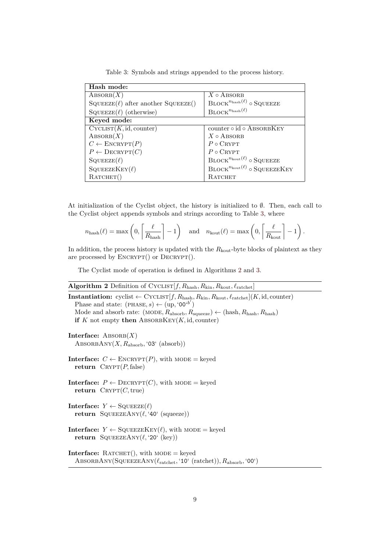<span id="page-8-0"></span>

| Hash mode:                                |                                                                    |
|-------------------------------------------|--------------------------------------------------------------------|
| $\text{ABSORB}(X)$                        | $X \circ$ ABSORB                                                   |
| $SQUEEZE(\ell)$ after another $SQUEEZE()$ | $\mathrm{BLOCK}^{n_{\mathrm{hash}}(\ell)}$ o SQUEEZE               |
| $SQUEEZE(\ell)$ (otherwise)               | $\mathrm{BLOCK}^{n_{\mathrm{hash}}(\ell)}$                         |
| Keyed mode:                               |                                                                    |
| CycLIST(K, id, counter)                   | counter $\circ$ id $\circ$ ABSORBKEY                               |
| $\text{ABSORB}(X)$                        | $X \circ$ Absorb                                                   |
| $C \leftarrow \text{ENCRYPT}(P)$          | $P \circ C RYPT$                                                   |
| $P \leftarrow \text{DECRYPT}(C)$          | $P \circ C RYPT$                                                   |
| $\text{SQUEEZE}(\ell)$                    | $\mathrm{BLOCK}^{n_{\mathrm{kout}}(\ell)}$ o SQUEEZE               |
| SQUEEZEKEY $(\ell)$                       | $\mathrm{BLOCK}^{n_{\mathrm{kout}}(\ell)}$ o $\mathrm{SQUEEZEKEY}$ |
| $R$ ATCHET $()$                           | RATCHET                                                            |

Table 3: Symbols and strings appended to the process history.

At initialization of the Cyclist object, the history is initialized to *∅*. Then, each call to the Cyclist object appends symbols and strings according to Table [3,](#page-8-0) where

$$
n_{\text{hash}}(\ell) = \max\left(0, \left\lceil \frac{\ell}{R_{\text{hash}}} \right\rceil - 1\right) \quad \text{and} \quad n_{\text{kout}}(\ell) = \max\left(0, \left\lceil \frac{\ell}{R_{\text{kout}}} \right\rceil - 1\right).
$$

In addition, the process history is updated with the  $R_{k_{\text{out}}}$ -byte blocks of plaintext as they are processed by  $\text{ENCRYPT}()$  or  $\text{DECRYPT}()$ .

The Cyclist mode of operation is defined in Algorithms [2](#page-8-1) and [3](#page-9-1).

## <span id="page-8-1"></span>**Algorithm 2** Definition of Cyclist[*f, R*hash*, R*kin*, R*kout*, ℓ*ratchet]

```
Instantiation: cyclist \leftarrow CYCLIST[f, R_{\text{hash}}, R_{\text{kin}}, R_{\text{kout}}, \ell_{\text{ratchet}}](K, id, \text{counter})Phase and state: (\text{PHASE}, s) \leftarrow (\text{up}, '00^{b'})\text{Mode and absorb rate: } (\text{MODE}, R_{\text{absorb}}, R_{\text{square}}) \leftarrow (\text{hash}, R_{\text{hash}}, R_{\text{hash}})if K not empty then ABSORBKEY(K, id, counter)
Interface: \text{ABSORB}(X)ABSORBANY(X, R_{\text{absorb}}, 03^{\circ} \text{ (absorb)})Interface: C \leftarrow \text{ENCRYPT}(P), with MODE = keyed
   return \ C \RVPT(P, false)Interface: P \leftarrow \text{DECRYPT}(C), with MODE = keyed
   return \ C \RYPT(C, true)Interface: Y \leftarrow \text{SQUEEZE}(\ell)return SqueezeAny(ℓ, '40' (squeeze))
Interface: Y \leftarrow \text{SQUEEZEKEY}(\ell), with MODE = keyed
   return SQUEEZEANY(\ell, '20' (key))
Interface: RATCHET(), with MODE = keyed
   AbsorbAny(SqueezeAny(ℓratchet, '10' (ratchet)), Rabsorb, '00')
```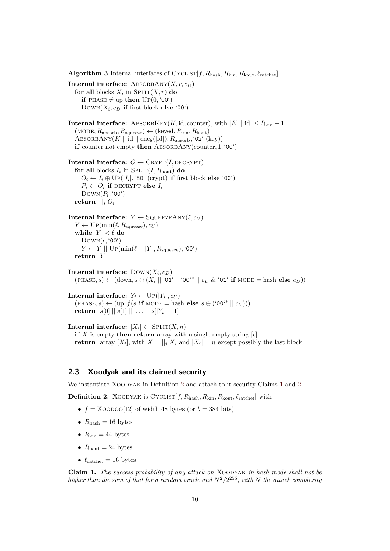<span id="page-9-1"></span>**Algorithm 3** Internal interfaces of CYCLIST $[f, R_{\text{hash}}, R_{\text{kin}}, R_{\text{kout}}, \ell_{\text{ratched}}]$ 

**Internal interface:** ABSORBANY $(X, r, c_D)$ **for all** blocks  $X_i$  in  $\text{SPLIT}(X, r)$  **do if** PHASE  $\neq$  up **then** UP(0, '00')  $Down(X_i, c_D$  if first block else '00') **Internal interface:** ABSORBKEY(*K*, id, counter), with  $|K||$  id $| \leq R_{\text{kin}} - 1$  $(MODE, R_{\text{absorb}}, R_{\text{square}} \leftrightarrow (keyed, R_{\text{kin}}, R_{\text{kout}})$ ABSORBANY $(K || id || enc_8(\text{lid}|), R_{\text{absorb}}, '02' (\text{key}))$ **if** counter not empty **then** AbsorbAny(counter*,* 1*,* '00') **Internal interface:**  $O \leftarrow \text{CRYPT}(I, \text{DECRYPT})$ **for all** blocks  $I_i$  in  $\text{SPLIT}(I, R_{\text{kout}})$  **do**  $O_i \leftarrow I_i \oplus \text{Up}(|I_i|, 80^{\circ} \text{ (crypt) if first block else '00') }$  $P_i \leftarrow O_i$  **if** decrypt **else**  $I_i$  $Down(P_i, '00')$ **return**  $||_i O_i$ **Internal interface:**  $Y \leftarrow \text{SQUEEZEANY}(\ell, c_U)$  $Y \leftarrow \text{Up}(\min(\ell, R_{\text{square}}), c_U)$ **while**  $|Y| < \ell$  **do** Down(*ϵ,* '00')  $Y \leftarrow Y \parallel \text{Up}(\min(\ell - |Y|, R_{\text{source}}), '00')$ **return** *Y* **Internal interface:**  $\text{Down}(X_i, c_D)$  $(\text{PHASE}, s) \leftarrow (\text{down}, s \oplus (X_i \mid \mid \text{`01'} \mid \mid \text{`00'}^* \mid \mid c_D \& \text{`01'} \text{ if } \text{MoDE} = \text{hash} \text{ else } c_D))$  $\textbf{Internal interface: } Y_i \leftarrow \text{Up}(|Y_i|, c_U)$  $(\text{PHASE}, s) \leftarrow (\text{up}, f(s \text{ if } \text{MoDE} = \text{hash} \text{ else } s \oplus (\text{`00'}^* \mid \mid c_U)))$  ${\bf r}$ eturn  $\,\, s[0]\parallel s[1]\parallel \, \ldots \, \parallel s[|Y_i|-1]$  $\textbf{Internal interface: } [X_i] \leftarrow \text{SPLIT}(X, n)$ **if** *X* is empty **then return** array with a single empty string  $\lbrack \epsilon \rbrack$ 

**return** array  $[X_i]$ , with  $X = ||i| X_i$  and  $|X_i| = n$  except possibly the last block.

### <span id="page-9-0"></span>**2.3 Xoodyak and its claimed security**

We instantiate XOODYAK in Definition [2](#page-9-2) and attach to it security Claims [1](#page-9-3) and [2.](#page-10-0)

<span id="page-9-2"></span>**Definition 2.** XOODYAK is CYCLIST $[f, R_{\text{hash}}, R_{\text{kin}}, R_{\text{kout}}, \ell_{\text{ratched}}]$  with

- $f = X00000[12]$  of width 48 bytes (or  $b = 384$  bits)
- $R_{\text{hash}} = 16$  bytes
- $R_{\text{kin}} = 44$  bytes
- $R_{\text{kout}} = 24 \text{ bytes}$
- $\ell_{\text{rather}} = 16 \text{ bytes}$

<span id="page-9-3"></span>**Claim 1.** *The success probability of any attack on* Xoodyak *in hash mode shall not be higher than the sum of that for a random oracle and*  $N^2/2^{255}$ *, with*  $N$  *the attack complexity*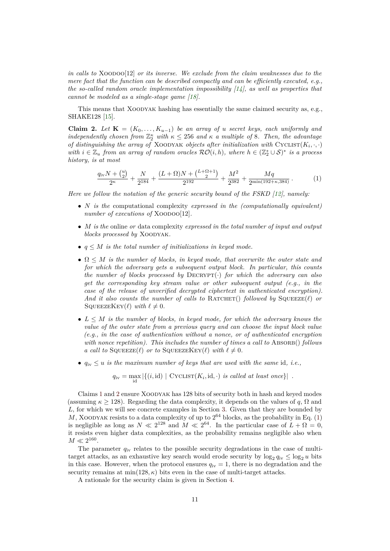*in calls to* XOODOO[12] *or its inverse. We exclude from the claim weaknesses due to the mere fact that the function can be described compactly and can be efficiently executed, e.g., the so-called random oracle implementation impossibility [[14\]](#page-22-10), as well as properties that cannot be modeled as a single-stage game [\[18](#page-22-11)].*

This means that Xoodyak hashing has essentially the same claimed security as, e.g., SHAKE128 [\[15](#page-22-7)].

<span id="page-10-0"></span>**Claim 2.** *Let*  $\mathbf{K} = (K_0, \ldots, K_{u-1})$  *be an array of u secret keys, each uniformly and independently chosen from*  $\mathbb{Z}_2^{\kappa}$  *with*  $\kappa \leq 256$  *and*  $\kappa$  *a multiple of* 8*. Then, the advantage of distinguishing the array of* XOODYAK *objects after initialization with*  $CYCLIST(K_i, \cdot, \cdot)$ *with*  $i \in \mathbb{Z}_u$  *from an array of random oracles*  $\mathcal{RO}(i, h)$ *, where*  $h \in (\mathbb{Z}_2^* \cup \mathcal{S})^*$  *is a process history, is at most*

<span id="page-10-1"></span>
$$
\frac{q_{\rm iv}N + {u \choose 2}}{2^{\kappa}} + \frac{N}{2^{184}} + \frac{(L+\Omega)N + {L+\Omega+1 \choose 2}}{2^{192}} + \frac{M^2}{2^{382}} + \frac{Mq}{2^{\min(192+\kappa,384)}}.
$$
 (1)

*Here we follow the notation of the generic security bound of the FSKD [[12\]](#page-22-1), namely:*

- *• N is the* computational complexity *expressed in the (computationally equivalent) number of executions of* XOODOO[12].
- *• M is the* online *or* data complexity *expressed in the total number of input and output blocks processed by* Xoodyak*.*
- *• q ≤ M is the total number of initializations in keyed mode.*
- *•* Ω *≤ M is the number of blocks, in keyed mode, that overwrite the outer state and for which the adversary gets a subsequent output block. In particular, this counts the number of blocks processed by* Decrypt(*·*) *for which the adversary can also get the corresponding key stream value or other subsequent output (e.g., in the case of the release of unverified decrypted ciphertext in authenticated encryption). And it also counts the number of calls to* RATCHET() *followed by* SQUEEZE( $\ell$ ) *or* SQUEEZEKEY( $\ell$ ) *with*  $\ell \neq 0$ .
- *• L ≤ M is the number of blocks, in keyed mode, for which the adversary knows the value of the outer state from a previous query and can choose the input block value (e.g., in the case of authentication without a nonce, or of authenticated encryption with nonce repetition). This includes the number of times a call to* ABSORB() *follows a call to*  $SQUEEZE(\ell)$  *or to*  $SQUEEZEKEY(\ell)$  *with*  $\ell \neq 0$ *.*
- $q_{iv} \leq u$  *is the maximum number of keys that are used with the same* id, *i.e.*,

$$
q_{iv} = \max_{id} |\{(i, id) | \text{CYCLIST}(K_i, id, \cdot) \text{ is called at least once}\}|
$$
.

Claims [1](#page-9-3) and [2](#page-10-0) ensure Xoodyak has 128 bits of security both in hash and keyed modes (assuming  $\kappa \ge 128$ ). Regarding the data complexity, it depends on the values of *q*,  $\Omega$  and *L*, for which we will see concrete examples in Section [3.](#page-11-0) Given that they are bounded by  $M$ , XOODYAK resists to a data complexity of up to  $2^{64}$  blocks, as the probability in Eq. [\(1](#page-10-1)) is negligible as long as  $N \ll 2^{128}$  and  $M \ll 2^{64}$ . In the particular case of  $L + \Omega = 0$ , it resists even higher data complexities, as the probability remains negligible also when  $M \ll 2^{160}$ .

The parameter  $q_{iv}$  relates to the possible security degradations in the case of multitarget attacks, as an exhaustive key search would erode security by  $\log_2 q_{iv} \leq \log_2 u$  bits in this case. However, when the protocol ensures  $q_{iv} = 1$ , there is no degradation and the security remains at  $\min(128, \kappa)$  bits even in the case of multi-target attacks.

A rationale for the security claim is given in Section [4](#page-16-0).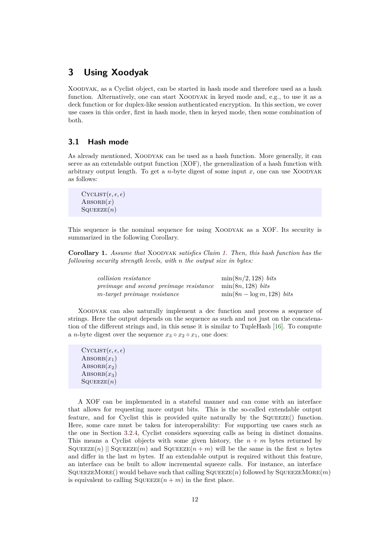## <span id="page-11-0"></span>**3 Using Xoodyak**

Xoodyak, as a Cyclist object, can be started in hash mode and therefore used as a hash function. Alternatively, one can start XOODYAK in keyed mode and, e.g., to use it as a deck function or for duplex-like session authenticated encryption. In this section, we cover use cases in this order, first in hash mode, then in keyed mode, then some combination of both.

### <span id="page-11-1"></span>**3.1 Hash mode**

As already mentioned, Xoodyak can be used as a hash function. More generally, it can serve as an extendable output function (XOF), the generalization of a hash function with arbitrary output length. To get a  $n$ -byte digest of some input  $x$ , one can use XOODYAK as follows:

```
CYCLIST(\epsilon, \epsilon, \epsilon)\text{ABSORB}(x)SQUEEZE(n)
```
This sequence is the nominal sequence for using Xoodyak as a XOF. Its security is summarized in the following Corollary.

**Corollary 1.** *Assume that* Xoodyak *satisfies Claim [1](#page-9-3). Then, this hash function has the following security strength levels, with n the output size in bytes:*

| <i>collision resistance</i>             | $\min(8n/2, 128)$ bits        |
|-----------------------------------------|-------------------------------|
| preimage and second preimage resistance | $\min(8n, 128)$ bits          |
| m-target preimage resistance            | $\min(8n - \log m, 128)$ bits |

Xoodyak can also naturally implement a dec function and process a sequence of strings. Here the output depends on the sequence as such and not just on the concatenation of the different strings and, in this sense it is similar to TupleHash [[16\]](#page-22-9). To compute a *n*-byte digest over the sequence  $x_3 \circ x_2 \circ x_1$ , one does:

```
CYCLIST(\epsilon, \epsilon, \epsilon)\text{ABSORB}(x_1)\text{ABSORB}(x_2)\text{ABSORB}(x_3)SQUEEZE(n)
```
A XOF can be implemented in a stateful manner and can come with an interface that allows for requesting more output bits. This is the so-called extendable output feature, and for Cyclist this is provided quite naturally by the SQUEEZE() function. Here, some care must be taken for interoperability: For supporting use cases such as the one in Section [3.2.4](#page-13-0), Cyclist considers squeezing calls as being in distinct domains. This means a Cyclist objects with some given history, the  $n + m$  bytes returned by  $SquareE(n)$  || Squeeze $(m)$  and  $SquareE(n+m)$  will be the same in the first *n* bytes and differ in the last *m* bytes. If an extendable output is required without this feature, an interface can be built to allow incremental squeeze calls. For instance, an interface SQUEEZEMORE() would behave such that calling  $SQUEEZE(n)$  followed by  $SQUEEZEMORE(m)$ is equivalent to calling  $\text{SQUEEZE}(n + m)$  in the first place.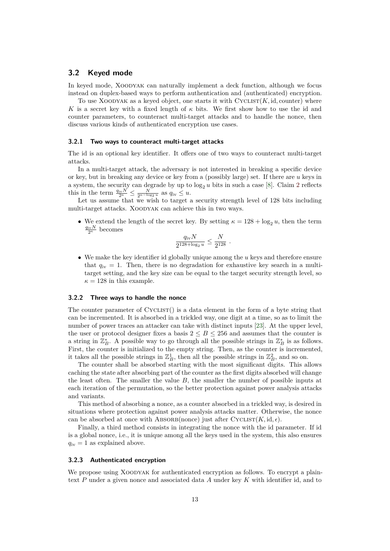#### **3.2 Keyed mode**

In keyed mode, Xoodyak can naturally implement a deck function, although we focus instead on duplex-based ways to perform authentication and (authenticated) encryption.

To use XOODYAK as a keyed object, one starts it with  $CYCLIST(K, id, counter)$  where *K* is a secret key with a fixed length of  $\kappa$  bits. We first show how to use the id and counter parameters, to counteract multi-target attacks and to handle the nonce, then discuss various kinds of authenticated encryption use cases.

#### **3.2.1 Two ways to counteract multi-target attacks**

The id is an optional key identifier. It offers one of two ways to counteract multi-target attacks.

In a multi-target attack, the adversary is not interested in breaking a specific device or key, but in breaking any device or key from a (possibly large) set. If there are *u* keys in a system, the security can degrade by up to  $\log_2 u$  $\log_2 u$  $\log_2 u$  bits in such a case [[8\]](#page-22-12). Claim 2 reflects this in the term  $\frac{q_{iv}N}{2^{\kappa}} \leq \frac{N}{2^{\kappa-\log_2 u}}$  as  $q_{iv} \leq u$ .

Let us assume that we wish to target a security strength level of 128 bits including multi-target attacks. XOODYAK can achieve this in two ways.

• We extend the length of the secret key. By setting  $\kappa = 128 + \log_2 u$ , then the term  $\frac{q_{\rm iv}N}{2^{\kappa}}$  becomes

$$
\frac{q_{\rm iv}N}{2^{128 + \log_2 u}} \le \frac{N}{2^{128}}.
$$

*•* We make the key identifier id globally unique among the *u* keys and therefore ensure that  $q_{iv} = 1$ . Then, there is no degradation for exhaustive key search in a multitarget setting, and the key size can be equal to the target security strength level, so  $\kappa = 128$  in this example.

#### <span id="page-12-0"></span>**3.2.2 Three ways to handle the nonce**

The counter parameter of  $CYCLIST()$  is a data element in the form of a byte string that can be incremented. It is absorbed in a trickled way, one digit at a time, so as to limit the number of power traces an attacker can take with distinct inputs [[23](#page-23-1)]. At the upper level, the user or protocol designer fixes a basis  $2 \leq B \leq 256$  and assumes that the counter is a string in  $\mathbb{Z}_B^*$ . A possible way to go through all the possible strings in  $\mathbb{Z}_B^*$  is as follows. First, the counter is initialized to the empty string. Then, as the counter is incremented, it takes all the possible strings in  $\mathbb{Z}_B^1$ , then all the possible strings in  $\mathbb{Z}_B^2$ , and so on.

The counter shall be absorbed starting with the most significant digits. This allows caching the state after absorbing part of the counter as the first digits absorbed will change the least often. The smaller the value *B*, the smaller the number of possible inputs at each iteration of the permutation, so the better protection against power analysis attacks and variants.

This method of absorbing a nonce, as a counter absorbed in a trickled way, is desired in situations where protection against power analysis attacks matter. Otherwise, the nonce can be absorbed at once with ABSORB(nonce) just after  $\text{CYCLIST}(K, \text{id}, \epsilon)$ .

Finally, a third method consists in integrating the nonce with the id parameter. If id is a global nonce, i.e., it is unique among all the keys used in the system, this also ensures  $q_{iv} = 1$  as explained above.

#### <span id="page-12-1"></span>**3.2.3 Authenticated encryption**

We propose using XOODYAK for authenticated encryption as follows. To encrypt a plaintext *P* under a given nonce and associated data *A* under key *K* with identifier id, and to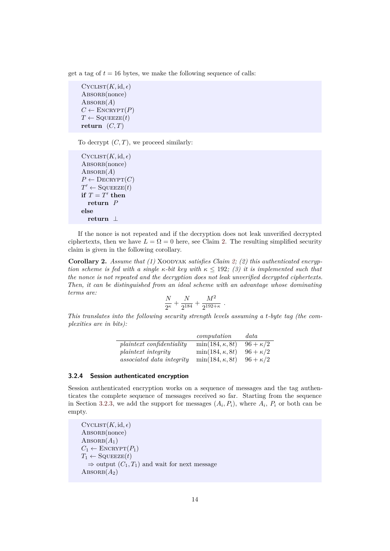get a tag of  $t = 16$  bytes, we make the following sequence of calls:

 $C$ YCLIST $(K, id, \epsilon)$ ABSORB(nonce)  $ABSORB(A)$  $C \leftarrow$  ENCRYPT $(P)$  $T \leftarrow$  SQUEEZE(*t*) **return**  $(C, T)$ 

To decrypt  $(C, T)$ , we proceed similarly:

```
CycLIST(K, id, \epsilon)ABSORB(nonce)
\text{ABSORB}(A)P \leftarrow \text{DECRYPT}(C)T' \leftarrow \texttt{SQUEEZE}(t)\mathbf{if} T = T' then
  return P
else
  return ⊥
```
If the nonce is not repeated and if the decryption does not leak unverified decrypted ciphertexts, then we have  $L = \Omega = 0$  here, see Claim [2.](#page-10-0) The resulting simplified security claim is given in the following corollary.

<span id="page-13-1"></span>Corollary 2. Assume that (1) XOODYAK *satisfies Claim [2;](#page-10-0)* (2) this authenticated encryp*tion scheme is fed with a single*  $\kappa$ *-bit key with*  $\kappa \leq 192$ ; (3) it is implemented such that *the nonce is not repeated and the decryption does not leak unverified decrypted ciphertexts. Then, it can be distinguished from an ideal scheme with an advantage whose dominating terms are:*

$$
\frac{N}{2^{\kappa}} + \frac{N}{2^{184}} + \frac{M^2}{2^{192+\kappa}}.
$$

*This translates into the following security strength levels assuming a t-byte tag (the complexities are in bits):*

|                                  | computation             | data            |
|----------------------------------|-------------------------|-----------------|
| <i>plaintext confidentiality</i> | $\min(184, \kappa, 8t)$ | $96 + \kappa/2$ |
| <i>plaintext integrity</i>       | $\min(184, \kappa, 8t)$ | $96 + \kappa/2$ |
| <i>associated data integrity</i> | $\min(184, \kappa, 8t)$ | $96 + \kappa/2$ |

#### <span id="page-13-0"></span>**3.2.4 Session authenticated encryption**

Session authenticated encryption works on a sequence of messages and the tag authenticates the complete sequence of messages received so far. Starting from the sequence in Section [3.2.3,](#page-12-1) we add the support for messages  $(A_i, P_i)$ , where  $A_i$ ,  $P_i$  or both can be empty.

```
CYCLIST(K, id, \epsilon)ABSORB(nonce)
\text{ABSORB}(A_1)C_1 \leftarrow ENCRYPT(P_1)T_1 \leftarrow \text{SQUEEZE}(t)\Rightarrow output (C_1, T_1) and wait for next message
ABSORB(A_2)
```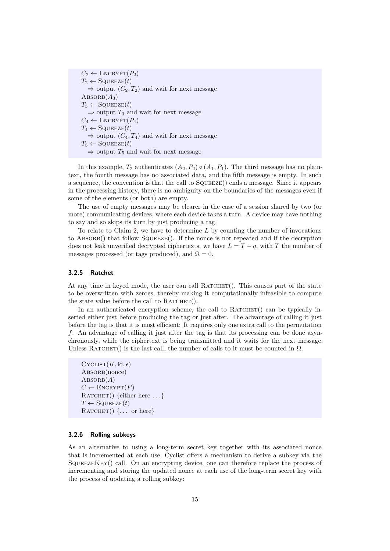$C_2 \leftarrow \text{ENCRYPT}(P_2)$  $T_2 \leftarrow \text{SQUEEZE}(t)$  $\Rightarrow$  output  $(C_2, T_2)$  and wait for next message  $\text{ABSORB}(A_3)$  $T_3 \leftarrow \text{SQUEEZE}(t)$ *⇒* output *T*<sup>3</sup> and wait for next message  $C_4 \leftarrow$  ENCRYPT $(P_4)$  $T_4 \leftarrow \text{SQUEEZE}(t)$  $\Rightarrow$  output  $(C_4, T_4)$  and wait for next message  $T_5 \leftarrow$  SQUEEZE(*t*)  $\Rightarrow$  output  $T_5$  and wait for next message

In this example,  $T_2$  authenticates  $(A_2, P_2) \circ (A_1, P_1)$ . The third message has no plaintext, the fourth message has no associated data, and the fifth message is empty. In such a sequence, the convention is that the call to Squeeze() ends a message. Since it appears in the processing history, there is no ambiguity on the boundaries of the messages even if some of the elements (or both) are empty.

The use of empty messages may be clearer in the case of a session shared by two (or more) communicating devices, where each device takes a turn. A device may have nothing to say and so skips its turn by just producing a tag.

To relate to Claim [2,](#page-10-0) we have to determine *L* by counting the number of invocations to  $\triangle$ BSORB() that follow SQUEEZE(). If the nonce is not repeated and if the decryption does not leak unverified decrypted ciphertexts, we have  $L = T - q$ , with *T* the number of messages processed (or tags produced), and  $\Omega = 0$ .

#### <span id="page-14-1"></span>**3.2.5 Ratchet**

At any time in keyed mode, the user can call  $\text{RATCHET}()$ . This causes part of the state to be overwritten with zeroes, thereby making it computationally infeasible to compute the state value before the call to  $\text{R}$ ATCHET().

In an authenticated encryption scheme, the call to  $R$ ATCHET $($ ) can be typically inserted either just before producing the tag or just after. The advantage of calling it just before the tag is that it is most efficient: It requires only one extra call to the permutation *f*. An advantage of calling it just after the tag is that its processing can be done asynchronously, while the ciphertext is being transmitted and it waits for the next message. Unless RATCHET() is the last call, the number of calls to it must be counted in  $\Omega$ .

```
CycLIST(K, id, \epsilon)ABSORB(nonce)
ABSORB(A)C \leftarrow ENCRYPT(P)RATCHET() {either here \dots}
T \leftarrow SQUEEZE(t)
RATCHET() {... or here}
```
#### <span id="page-14-0"></span>**3.2.6 Rolling subkeys**

As an alternative to using a long-term secret key together with its associated nonce that is incremented at each use, Cyclist offers a mechanism to derive a subkey via the  $SQUEEZEKEY()$  call. On an encrypting device, one can therefore replace the process of incrementing and storing the updated nonce at each use of the long-term secret key with the process of updating a rolling subkey: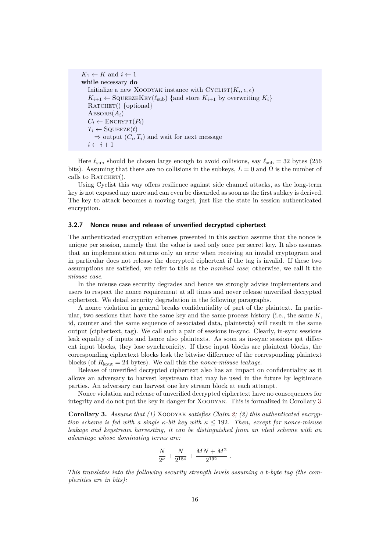```
K_1 \leftarrow K and i \leftarrow 1while necessary do
   Initialize a new XOODYAK instance with \text{CYCLIST}(K_i, \epsilon, \epsilon)K_{i+1} \leftarrow SQUEEZEKEY(\ell_{sub}) {and store K_{i+1} by overwriting K_i}
  RATCHET() {optional}
  \text{ABSORB}(A_i)C_i \leftarrow \text{ENCRYPT}(P_i)T_i \leftarrow SQUEEZE(t)\Rightarrow output (C_i, T_i) and wait for next message
  i \leftarrow i + 1
```
Here  $\ell_{\text{sub}}$  should be chosen large enough to avoid collisions, say  $\ell_{\text{sub}} = 32$  bytes (256) bits). Assuming that there are no collisions in the subkeys,  $L = 0$  and  $\Omega$  is the number of calls to  $\text{R}$ ATCHET().

Using Cyclist this way offers resilience against side channel attacks, as the long-term key is not exposed any more and can even be discarded as soon as the first subkey is derived. The key to attack becomes a moving target, just like the state in session authenticated encryption.

#### **3.2.7 Nonce reuse and release of unverified decrypted ciphertext**

The authenticated encryption schemes presented in this section assume that the nonce is unique per session, namely that the value is used only once per secret key. It also assumes that an implementation returns only an error when receiving an invalid cryptogram and in particular does not release the decrypted ciphertext if the tag is invalid. If these two assumptions are satisfied, we refer to this as the *nominal case*; otherwise, we call it the *misuse case*.

In the misuse case security degrades and hence we strongly advise implementers and users to respect the nonce requirement at all times and never release unverified decrypted ciphertext. We detail security degradation in the following paragraphs.

A nonce violation in general breaks confidentiality of part of the plaintext. In particular, two sessions that have the same key and the same process history (i.e., the same *K*, id, counter and the same sequence of associated data, plaintexts) will result in the same output (ciphertext, tag). We call such a pair of sessions in-sync. Clearly, in-sync sessions leak equality of inputs and hence also plaintexts. As soon as in-sync sessions get different input blocks, they lose synchronicity. If these input blocks are plaintext blocks, the corresponding ciphertext blocks leak the bitwise difference of the corresponding plaintext blocks (of  $R_{\text{kout}} = 24$  bytes). We call this the *nonce-misuse leakage*.

Release of unverified decrypted ciphertext also has an impact on confidentiality as it allows an adversary to harvest keystream that may be used in the future by legitimate parties. An adversary can harvest one key stream block at each attempt.

Nonce violation and release of unverified decrypted ciphertext have no consequences for integrity and do not put the key in danger for XOODYAK. This is formalized in Corollary [3](#page-15-0).

<span id="page-15-0"></span>Corollary 3. Assume that (1) XOODYAK *satisfies Claim [2;](#page-10-0)* (2) this authenticated encryp*tion scheme is fed with a single κ-bit key with κ ≤* 192*. Then, except for nonce-misuse leakage and keystream harvesting, it can be distinguished from an ideal scheme with an advantage whose dominating terms are:*

$$
\frac{N}{2^\kappa} + \frac{N}{2^{184}} + \frac{MN+M^2}{2^{192}} \ .
$$

*This translates into the following security strength levels assuming a t-byte tag (the complexities are in bits):*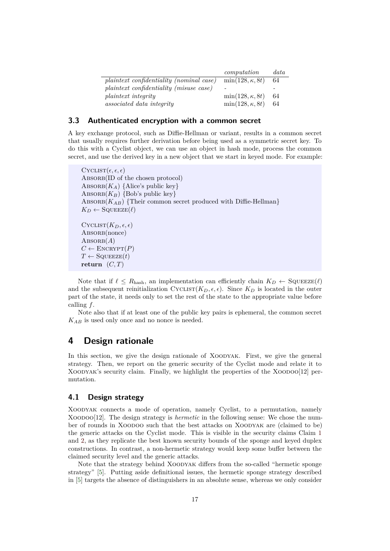|                                          | computation             | data |
|------------------------------------------|-------------------------|------|
| plaintext confidentiality (nominal case) | $\min(128, \kappa, 8t)$ | 64   |
| plaintext confidentiality (misuse case)  |                         |      |
| <i>plaintext integrity</i>               | $\min(128, \kappa, 8t)$ | 64   |
| <i>associated data integrity</i>         | $\min(128, \kappa, 8t)$ | 64   |

#### **3.3 Authenticated encryption with a common secret**

A key exchange protocol, such as Diffie-Hellman or variant, results in a common secret that usually requires further derivation before being used as a symmetric secret key. To do this with a Cyclist object, we can use an object in hash mode, process the common secret, and use the derived key in a new object that we start in keyed mode. For example:

```
CYCLIST(\epsilon, \epsilon, \epsilon)ABSORB(ID of the chosen protocol)
ABSORB(K_A) {Alice's public key}
ABSORB(K_B) {Bob's public key}
ABSORB(K_{AB}) {Their common secret produced with Diffie-Hellman}
K_D \leftarrow \text{SQUEEZE}(\ell)CYCLIST(K_D, \epsilon, \epsilon)ABSORB(nonce)
ABSORB(A)C \leftarrow \text{ENCRYPT}(P)T \leftarrow SQUEEZE(t)
return (C, T)
```
Note that if  $\ell \leq R_{\text{hash}}$ , an implementation can efficiently chain  $K_D \leftarrow \text{SQUEEZE}(\ell)$ and the subsequent reinitialization  $\text{Cyclic}(\mathbf{K}_D, \epsilon, \epsilon)$ . Since  $\mathbf{K}_D$  is located in the outer part of the state, it needs only to set the rest of the state to the appropriate value before calling *f*.

Note also that if at least one of the public key pairs is ephemeral, the common secret *KAB* is used only once and no nonce is needed.

## <span id="page-16-0"></span>**4 Design rationale**

In this section, we give the design rationale of XOODYAK. First, we give the general strategy. Then, we report on the generic security of the Cyclist mode and relate it to XOODYAK's security claim. Finally, we highlight the properties of the XOODOO[12] permutation.

### **4.1 Design strategy**

Xoodyak connects a mode of operation, namely Cyclist, to a permutation, namely Xoodoo[12]. The design strategy is *hermetic* in the following sense: We chose the number of rounds in Xoodoo such that the best attacks on Xoodyak are (claimed to be) the generic attacks on the Cyclist mode. This is visible in the security claims Claim [1](#page-9-3) and [2,](#page-10-0) as they replicate the best known security bounds of the sponge and keyed duplex constructions. In contrast, a non-hermetic strategy would keep some buffer between the claimed security level and the generic attacks.

Note that the strategy behind XOODYAK differs from the so-called "hermetic sponge" strategy" [\[5](#page-22-6)]. Putting aside definitional issues, the hermetic sponge strategy described in [\[5](#page-22-6)] targets the absence of distinguishers in an absolute sense, whereas we only consider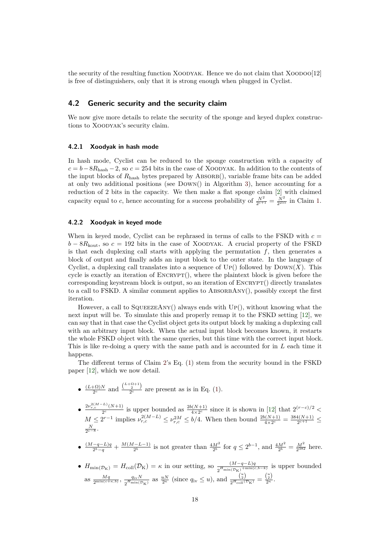the security of the resulting function Xoodyak. Hence we do not claim that Xoodoo[12] is free of distinguishers, only that it is strong enough when plugged in Cyclist.

## **4.2 Generic security and the security claim**

We now give more details to relate the security of the sponge and keyed duplex constructions to Xoodyak's security claim.

#### **4.2.1 Xoodyak in hash mode**

In hash mode, Cyclist can be reduced to the sponge construction with a capacity of  $c = b - 8R_{\text{hash}} - 2$ , so  $c = 254$  bits in the case of XOODYAK. In addition to the contents of the input blocks of  $R_{\text{hash}}$  bytes prepared by ABSORB(), variable frame bits can be added at only two additional positions (see Down() in Algorithm [3](#page-9-1)), hence accounting for a reduction of 2 bits in the capacity. We then make a flat sponge claim [[2\]](#page-22-13) with claimed capacity equal to *c*, hence accounting for a success probability of  $\frac{N^2}{2^{c+1}} = \frac{N^2}{2^{255}}$  $\frac{N^2}{2^{c+1}} = \frac{N^2}{2^{255}}$  $\frac{N^2}{2^{c+1}} = \frac{N^2}{2^{255}}$  in Claim 1.

#### **4.2.2 Xoodyak in keyed mode**

When in keyed mode, Cyclist can be rephrased in terms of calls to the FSKD with  $c =$  $b - 8R_{\text{kout}}$ , so  $c = 192$  bits in the case of XOODYAK. A crucial property of the FSKD is that each duplexing call starts with applying the permutation  $f$ , then generates a block of output and finally adds an input block to the outer state. In the language of Cyclist, a duplexing call translates into a sequence of  $UP()$  followed by  $Down(X)$ . This cycle is exactly an iteration of  $\text{ENCRYPT}()$ , where the plaintext block is given before the corresponding keystream block is output, so an iteration of  $\text{ENCRYPT}()$  directly translates to a call to FSKD. A similar comment applies to  $\triangle$ BSORBANY $()$ , possibly except the first iteration.

However, a call to  $SQUEEZEANY()$  always ends with  $Up()$ , without knowing what the next input will be. To simulate this and properly remap it to the FSKD setting [[12\]](#page-22-1), we can say that in that case the Cyclist object gets its output block by making a duplexing call with an arbitrary input block. When the actual input block becomes known, it restarts the whole FSKD object with the same queries, but this time with the correct input block. This is like re-doing a query with the same path and is accounted for in *L* each time it happens.

The different terms of Claim [2](#page-10-0)'s Eq. [\(1](#page-10-1)) stem from the security bound in the FSKD paper [[12\]](#page-22-1), which we now detail.

- $\bullet$   $\frac{(L+\Omega)N}{2c}$  $\frac{(\mu+Q)N}{2c}$  and  $\frac{\binom{L+Q+1}{2c}}{2c}$  are present as is in Eq. ([1\)](#page-10-1).
- $\bullet$   $\frac{2\nu_{r,c}^{2(M-L)}(N+1)}{2^c}$  is upper bounded as  $\frac{2b(N+1)}{4\times 2^c}$  since it is shown in [[12\]](#page-22-1) that  $2^{(r-c)/2}$  <  $M \leq 2^{r-1}$  implies  $\nu_{r,c}^{2(M-L)} \leq \nu_{r,c}^{2M} \leq b/4$ . When then bound  $\frac{2b(N+1)}{4 \times 2^c} = \frac{384(N+1)}{2^{c+1}}$  $\frac{4(N+1)}{2^{c+1}} \leq$ *N <sup>c</sup>−*<sup>8</sup> . 2
- $\frac{(M-q-L)q}{2^b-q} + \frac{M(M-L-1)}{2^b}$  is not greater than  $\frac{4M^2}{2^b}$  for  $q \leq 2^{b-1}$ , and  $\frac{4M^2}{2^b} = \frac{M^2}{2^{382}}$  here.
- $\bullet$  *H*<sub>min(*D*K) = *K* in our setting, so  $\frac{(M-q-L)q}{2^{H_{\min}(D_K)+\min(c,b-k)}}$  is upper bounded</sub> as  $\frac{Mq}{2^{\min(c+\kappa,b)}}, \frac{q_{\text{iv}}N}{2^H\min(T)}$  $\frac{q_i v}{2^{H_{\text{min}}(D_K)}}$  as  $\frac{uN}{2^{\kappa}}$  (since  $q_i v \leq u$ ), and  $\frac{\binom{u}{2}}{2^{H_{\text{coll}}(D_K)}} = \frac{\binom{u}{2}}{2^{\kappa}}$ .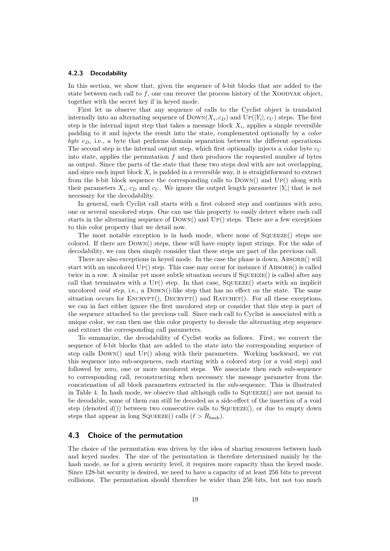#### **4.2.3 Decodability**

In this section, we show that, given the sequence of *b*-bit blocks that are added to the state between each call to f, one can recover the process history of the XOODYAK object, together with the secret key if in keyed mode.

First let us observe that any sequence of calls to the Cyclist object is translated internally into an alternating sequence of  $\text{Down}(X_i, c_D)$  and  $\text{Up}(|Y_i|, c_U)$  steps. The first step is the internal input step that takes a message block  $X_i$ , applies a simple reversible padding to it and injects the result into the state, complemented optionally by a *color byte cD*, i.e., a byte that performs domain separation between the different operations. The second step is the internal output step, which first optionally injects a color byte *c<sup>U</sup>* into state, applies the permutation *f* and then produces the requested number of bytes as output. Since the parts of the state that these two steps deal with are not overlapping, and since each input block  $X_i$  is padded in a reversible way, it is straightforward to extract from the *b*-bit block sequence the corresponding calls to  $DowN()$  and  $UP()$  along with their parameters  $X_i$ ,  $c_D$  and  $c_U$ . We ignore the output length parameter  $|Y_i|$  that is not necessary for the decodability.

In general, each Cyclist call starts with a first colored step and continues with zero, one or several uncolored steps. One can use this property to easily detect where each call starts in the alternating sequence of  $Down()$  and  $UP()$  steps. There are a few exceptions to this color property that we detail now.

The most notable exception is in hash mode, where none of SQUEEZE() steps are colored. If there are Down() steps, these will have empty input strings. For the sake of decodability, we can then simply consider that these steps are part of the previous call.

There are also exceptions in keyed mode. In the case the phase is down, ABSORB() will start with an uncolored  $UP()$  step. This case may occur for instance if  $ABSORB()$  is called twice in a row. A similar yet more subtle situation occurs if  $SQUEEZE()$  is called after any call that terminates with a  $UP()$  step. In that case,  $SQUEEZE()$  starts with an implicit uncolored *void step*, i.e., a DOWN()-like step that has no effect on the state. The same situation occurs for  $\text{ENCRYPT}()$ ,  $\text{DecRYPT}()$  and  $\text{RATCHET}()$ . For all these exceptions, we can in fact either ignore the first uncolored step or consider that this step is part of the sequence attached to the previous call. Since each call to Cyclist is associated with a unique color, we can then use this color property to decode the alternating step sequence and extract the corresponding call parameters.

To summarize, the decodability of Cyclist works as follows. First, we convert the sequence of *b*-bit blocks that are added to the state into the corresponding sequence of step calls  $Down()$  and  $Up()$  along with their parameters. Working backward, we cut this sequence into sub-sequences, each starting with a colored step (or a void step) and followed by zero, one or more uncolored steps. We associate then each sub-sequence to corresponding call, reconstructing when necessary the message parameter from the concatenation of all block parameters extracted in the sub-sequence. This is illustrated in Table [4.](#page-19-0) In hash mode, we observe that although calls to Squeeze() are not meant to be decodable, some of them can still be decoded as a side-effect of the insertion of a void step (denoted  $d()$ ) between two consecutive calls to SQUEEZE $()$ , or due to empty down steps that appear in long SQUEEZE() calls  $(\ell > R_{\text{hash}})$ .

#### **4.3 Choice of the permutation**

The choice of the permutation was driven by the idea of sharing resources between hash and keyed modes. The size of the permutation is therefore determined mainly by the hash mode, as for a given security level, it requires more capacity than the keyed mode. Since 128-bit security is desired, we need to have a capacity of at least 256 bits to prevent collisions. The permutation should therefore be wider than 256 bits, but not too much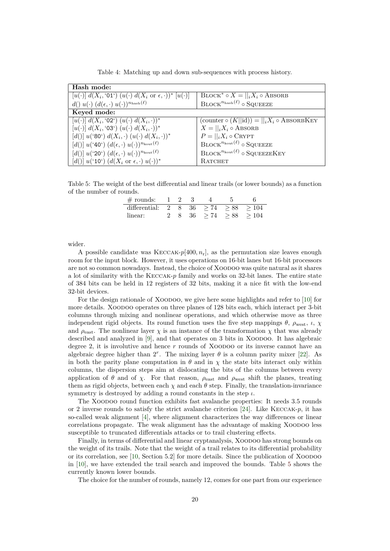<span id="page-19-0"></span>

| Hash mode:                                                                           |                                                               |
|--------------------------------------------------------------------------------------|---------------------------------------------------------------|
| $[u(\cdot)] d(X_i, '01') (u(\cdot) d(X_i \text{ or } \epsilon, \cdot))^* [u(\cdot)]$ | $\text{BLOCK}^* \circ X =   _i X_i \circ \text{ABSORB}$       |
| $d() u(\cdot) (d(\epsilon, \cdot) u(\cdot))^{n_{\text{hash}}(\ell)}$                 | $\mathrm{BLOCK}^{n_{\mathrm{hash}}(\ell)}$ o SQUEEZE          |
| Keyed mode:                                                                          |                                                               |
| $[u(\cdot)] d(X_i, '02') (u(\cdot) d(X_i, \cdot))^*$                                 | (counter $\circ$ $(K  id)) =   _i X_i \circ \text{ABSORBKEY}$ |
| $[u(\cdot)] d(X_i, '03') (u(\cdot) d(X_i, \cdot))^*$                                 | $X =   _i X_i \circ \text{ABSORB}$                            |
| [d()] $u({}^{6}80^{\circ}) d(X_i, \cdot) (u(\cdot) d(X_i, \cdot))^*$                 | $P=  _iX_i \circ \text{CRYPT}$                                |
| $[d()] u({}^40') (d(\epsilon, \cdot) u(\cdot))^{n_{\text{kout}}(\ell)}$              | $\mathrm{BLOCK}^{n_{\mathrm{kout}}(\ell)}$ o SQUEEZE          |
| $[d()] u('20') (d(\epsilon, \cdot) u(\cdot))^{n_{\text{kout}}(\ell)}$                | $\mathrm{BLOCK}^{n_{\mathrm{kout}}(\ell)}$ o SQUEEZEKEY       |
| [d()] $u({}^t10^t)$ $(d(X_i \text{ or } \epsilon, \cdot) u(\cdot))^*$                | <b>RATCHET</b>                                                |

Table 4: Matching up and down sub-sequences with process history.

<span id="page-19-1"></span>Table 5: The weight of the best differential and linear trails (or lower bounds) as a function of the number of rounds.

| $\#$ rounds:  |          |    |      |      |      |      |
|---------------|----------|----|------|------|------|------|
| differential: | $\sim 2$ | 8. | - 36 | > 74 | > 88 | >104 |
| linear:       |          |    | 36   | > 74 | > 88 | >104 |

wider.

A possible candidate was Keccak-*p*[400*, n*r], as the permutation size leaves enough room for the input block. However, it uses operations on 16-bit lanes but 16-bit processors are not so common nowadays. Instead, the choice of Xoodoo was quite natural as it shares a lot of similarity with the Keccak-*p* family and works on 32-bit lanes. The entire state of 384 bits can be held in 12 registers of 32 bits, making it a nice fit with the low-end 32-bit devices.

For the design rationale of XOODOO, we give here some highlights and refer to [[10\]](#page-22-5) for more details. Xoodoo operates on three planes of 128 bits each, which interact per 3-bit columns through mixing and nonlinear operations, and which otherwise move as three independent rigid objects. Its round function uses the five step mappings  $\theta$ ,  $\rho_{\text{west}}$ ,  $\iota$ ,  $\chi$ and  $\rho_{\text{east}}$ . The nonlinear layer  $\chi$  is an instance of the transformation  $\chi$  that was already described and analyzed in [[9\]](#page-22-14), and that operates on 3 bits in Xoodoo. It has algebraic degree 2, it is involutive and hence *r* rounds of Xoodoo or its inverse cannot have an algebraic degree higher than  $2^r$ . The mixing layer  $\theta$  is a column parity mixer [[22\]](#page-23-3). As in both the parity plane computation in  $\theta$  and in  $\chi$  the state bits interact only within columns, the dispersion steps aim at dislocating the bits of the columns between every application of  $\theta$  and of  $\chi$ . For that reason,  $\rho_{\text{east}}$  and  $\rho_{\text{west}}$  shift the planes, treating them as rigid objects, between each  $\chi$  and each  $\theta$  step. Finally, the translation-invariance symmetry is destroyed by adding a round constants in the step *ι*.

The Xoodoo round function exhibits fast avalanche properties: It needs 3*.*5 rounds or 2 inverse rounds to satisfy the strict avalanche criterion [\[24](#page-23-4)]. Like Keccak-*p*, it has so-called weak alignment [\[4](#page-22-15)], where alignment characterizes the way differences or linear correlations propagate. The weak alignment has the advantage of making Xoodoo less susceptible to truncated differentials attacks or to trail clustering effects.

Finally, in terms of differential and linear cryptanalysis, Xoodoo has strong bounds on the weight of its trails. Note that the weight of a trail relates to its differential probability or its correlation, see [[10,](#page-22-5) Section 5.2] for more details. Since the publication of Xoodoo in [\[10\]](#page-22-5), we have extended the trail search and improved the bounds. Table [5](#page-19-1) shows the currently known lower bounds.

The choice for the number of rounds, namely 12, comes for one part from our experience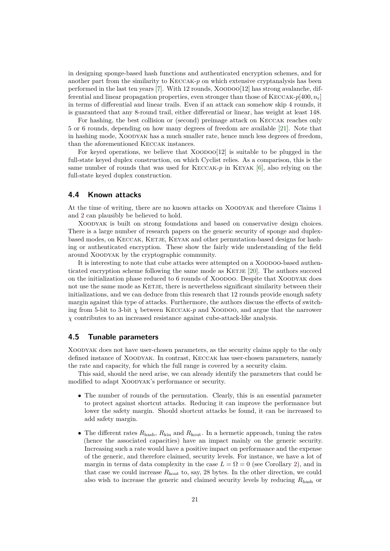in designing sponge-based hash functions and authenticated encryption schemes, and for another part from the similarity to Keccak-*p* on which extensive cryptanalysis has been performed in the last ten years  $[7]$  $[7]$ . With 12 rounds, XOODOO $[12]$  has strong avalanche, differential and linear propagation properties, even stronger than those of KECCAK- $p[400, n_r]$ in terms of differential and linear trails. Even if an attack can somehow skip 4 rounds, it is guaranteed that any 8-round trail, either differential or linear, has weight at least 148.

For hashing, the best collision or (second) preimage attack on Keccak reaches only 5 or 6 rounds, depending on how many degrees of freedom are available [[21\]](#page-23-5). Note that in hashing mode, Xoodyak has a much smaller rate, hence much less degrees of freedom, than the aforementioned Keccak instances.

For keyed operations, we believe that  $XOODO[12]$  is suitable to be plugged in the full-state keyed duplex construction, on which Cyclist relies. As a comparison, this is the same number of rounds that was used for Keccak-*p* in Keyak [\[6](#page-22-8)], also relying on the full-state keyed duplex construction.

#### **4.4 Known attacks**

At the time of writing, there are no known attacks on Xoodyak and therefore Claims [1](#page-9-3) and [2](#page-10-0) can plausibly be believed to hold.

Xoodyak is built on strong foundations and based on conservative design choices. There is a large number of research papers on the generic security of sponge and duplexbased modes, on KECCAK, KETJE, KEYAK and other permutation-based designs for hashing or authenticated encryption. These show the fairly wide understanding of the field around Xoodyak by the cryptographic community.

It is interesting to note that cube attacks were attempted on a XOODOO-based authenticated encryption scheme following the same mode as KETJE  $[20]$  $[20]$ . The authors succeed on the initialization phase reduced to 6 rounds of Xoodoo. Despite that Xoodyak does not use the same mode as KETJE, there is nevertheless significant similarity between their initializations, and we can deduce from this research that 12 rounds provide enough safety margin against this type of attacks. Furthermore, the authors discuss the effects of switching from 5-bit to 3-bit  $\chi$  between KECCAK-*p* and XOODOO, and argue that the narrower *χ* contributes to an increased resistance against cube-attack-like analysis.

### **4.5 Tunable parameters**

Xoodyak does not have user-chosen parameters, as the security claims apply to the only defined instance of Xoodyak. In contrast, Keccak has user-chosen parameters, namely the rate and capacity, for which the full range is covered by a security claim.

This said, should the need arise, we can already identify the parameters that could be modified to adapt Xoodyak's performance or security.

- The number of rounds of the permutation. Clearly, this is an essential parameter to protect against shortcut attacks. Reducing it can improve the performance but lower the safety margin. Should shortcut attacks be found, it can be increased to add safety margin.
- The different rates  $R_{\text{hash}}$ ,  $R_{\text{kin}}$  and  $R_{\text{kout}}$ . In a hermetic approach, tuning the rates (hence the associated capacities) have an impact mainly on the generic security. Increasing such a rate would have a positive impact on performance and the expense of the generic, and therefore claimed, security levels. For instance, we have a lot of margin in terms of data complexity in the case  $L = \Omega = 0$  (see Corollary [2\)](#page-13-1), and in that case we could increase  $R_{\text{kout}}$  to, say, 28 bytes. In the other direction, we could also wish to increase the generic and claimed security levels by reducing *R*hash or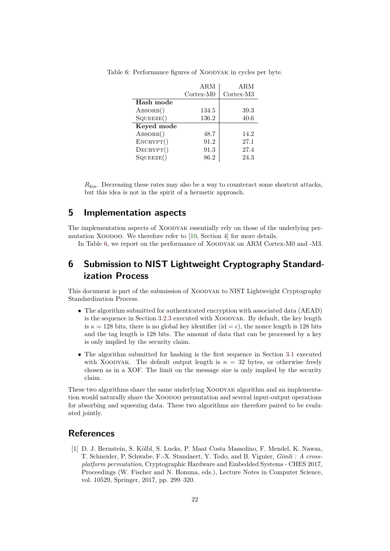|                    | <b>ARM</b> | ARM       |
|--------------------|------------|-----------|
|                    | Cortex-M0  | Cortex-M3 |
| Hash mode          |            |           |
| $\text{ABSORB}()$  | 134.5      | 39.3      |
| SQUEEZE()          | 136.2      | 40.6      |
| Keyed mode         |            |           |
| $\text{ABSORB}()$  | 48.7       | 14.2      |
| ENCRYPT()          | 91.2       | 27.1      |
| $\text{DECRYPT}()$ | 91.3       | 27.4      |
| SQUEEZE()          | 86.2       | 24.3      |

<span id="page-21-1"></span>Table 6: Performance figures of Xoodyak in cycles per byte.

 $R_{\text{kin}}$ . Decreasing these rates may also be a way to counteract some shortcut attacks, but this idea is not in the spirit of a hermetic approach.

## **5 Implementation aspects**

The implementation aspects of XOODYAK essentially rely on those of the underlying per-mutation XOODOO. We therefore refer to [[10,](#page-22-5) Section 4] for more details.

In Table [6,](#page-21-1) we report on the performance of Xoodyak on ARM Cortex-M0 and -M3.

## **6 Submission to NIST Lightweight Cryptography Standardization Process**

This document is part of the submission of Xoodyak to NIST Lightweight Cryptography Standardization Process.

- The algorithm submitted for authenticated encryption with associated data (AEAD) is the sequence in Section [3.2.3](#page-12-1) executed with Xoodyak. By default, the key length is  $\kappa = 128$  bits, there is no global key identifier (id =  $\epsilon$ ), the nonce length is 128 bits and the tag length is 128 bits. The amount of data that can be processed by a key is only implied by the security claim.
- The algorithm submitted for hashing is the first sequence in Section [3.1](#page-11-1) executed with XOODYAK. The default output length is  $n = 32$  bytes, or otherwise freely chosen as in a XOF. The limit on the message size is only implied by the security claim.

These two algorithms share the same underlying Xoodyak algorithm and an implementation would naturally share the Xoodoo permutation and several input-output operations for absorbing and squeezing data. These two algorithms are therefore paired to be evaluated jointly.

## **References**

<span id="page-21-0"></span>[1] D. J. Bernstein, S. Kölbl, S. Lucks, P. Maat Costa Massolino, F. Mendel, K. Nawaz, T. Schneider, P. Schwabe, F.-X. Standaert, Y. Todo, and B. Viguier, *Gimli : A crossplatform permutation*, Cryptographic Hardware and Embedded Systems - CHES 2017, Proceedings (W. Fischer and N. Homma, eds.), Lecture Notes in Computer Science, vol. 10529, Springer, 2017, pp. 299–320.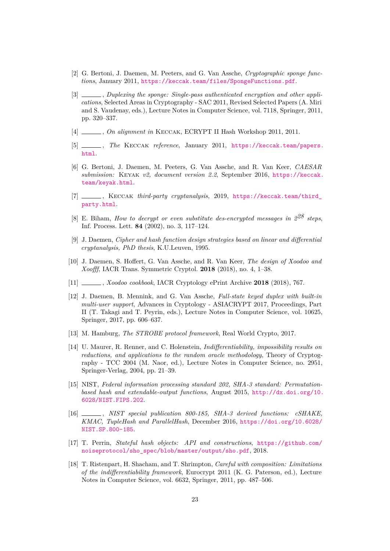- <span id="page-22-13"></span>[2] G. Bertoni, J. Daemen, M. Peeters, and G. Van Assche, *Cryptographic sponge functions*, January 2011, <https://keccak.team/files/SpongeFunctions.pdf>.
- <span id="page-22-0"></span>[3] , *Duplexing the sponge: Single-pass authenticated encryption and other applications*, Selected Areas in Cryptography - SAC 2011, Revised Selected Papers (A. Miri and S. Vaudenay, eds.), Lecture Notes in Computer Science, vol. 7118, Springer, 2011, pp. 320–337.
- <span id="page-22-15"></span>[4] , *On alignment in* Keccak, ECRYPT II Hash Workshop 2011, 2011.
- <span id="page-22-6"></span>[5] , *The* Keccak *reference*, January 2011, [https://keccak.team/papers.](https://keccak.team/papers.html) [html](https://keccak.team/papers.html).
- <span id="page-22-8"></span>[6] G. Bertoni, J. Daemen, M. Peeters, G. Van Assche, and R. Van Keer, *CAESAR submission:* Keyak *v2, document version 2.2*, September 2016, [https://keccak.](https://keccak.team/keyak.html) [team/keyak.html](https://keccak.team/keyak.html).
- <span id="page-22-16"></span>[7] , Keccak *third-party cryptanalysis*, 2019, [https://keccak.team/third\\_](https://keccak.team/third_party.html) [party.html](https://keccak.team/third_party.html).
- <span id="page-22-12"></span>[8] E. Biham, *How to decrypt or even substitute des-encrypted messages in 228 steps*, Inf. Process. Lett. **84** (2002), no. 3, 117–124.
- <span id="page-22-14"></span>[9] J. Daemen, *Cipher and hash function design strategies based on linear and differential cryptanalysis, PhD thesis*, K.U.Leuven, 1995.
- <span id="page-22-5"></span>[10] J. Daemen, S. Hoffert, G. Van Assche, and R. Van Keer, *The design of Xoodoo and Xoofff*, IACR Trans. Symmetric Cryptol. **2018** (2018), no. 4, 1–38.
- <span id="page-22-4"></span>[11] , *Xoodoo cookbook*, IACR Cryptology ePrint Archive **2018** (2018), 767.
- <span id="page-22-1"></span>[12] J. Daemen, B. Mennink, and G. Van Assche, *Full-state keyed duplex with built-in multi-user support*, Advances in Cryptology - ASIACRYPT 2017, Proceedings, Part II (T. Takagi and T. Peyrin, eds.), Lecture Notes in Computer Science, vol. 10625, Springer, 2017, pp. 606–637.
- <span id="page-22-2"></span>[13] M. Hamburg, *The STROBE protocol framework*, Real World Crypto, 2017.
- <span id="page-22-10"></span>[14] U. Maurer, R. Renner, and C. Holenstein, *Indifferentiability, impossibility results on reductions, and applications to the random oracle methodology*, Theory of Cryptography - TCC 2004 (M. Naor, ed.), Lecture Notes in Computer Science, no. 2951, Springer-Verlag, 2004, pp. 21–39.
- <span id="page-22-7"></span>[15] NIST, *Federal information processing standard 202, SHA-3 standard: Permutationbased hash and extendable-output functions*, August 2015, [http://dx.doi.org/10.](http://dx.doi.org/10.6028/NIST.FIPS.202) [6028/NIST.FIPS.202](http://dx.doi.org/10.6028/NIST.FIPS.202).
- <span id="page-22-9"></span>[16] , *NIST special publication 800-185, SHA-3 derived functions: cSHAKE, KMAC, TupleHash and ParallelHash*, December 2016, [https://doi.org/10.6028/](https://doi.org/10.6028/NIST.SP.800-185) [NIST.SP.800-185](https://doi.org/10.6028/NIST.SP.800-185).
- <span id="page-22-3"></span>[17] T. Perrin, *Stateful hash objects: API and constructions*, [https://github.com/](https://github.com/noiseprotocol/sho_spec/blob/master/output/sho.pdf) [noiseprotocol/sho\\_spec/blob/master/output/sho.pdf](https://github.com/noiseprotocol/sho_spec/blob/master/output/sho.pdf), 2018.
- <span id="page-22-11"></span>[18] T. Ristenpart, H. Shacham, and T. Shrimpton, *Careful with composition: Limitations of the indifferentiability framework*, Eurocrypt 2011 (K. G. Paterson, ed.), Lecture Notes in Computer Science, vol. 6632, Springer, 2011, pp. 487–506.